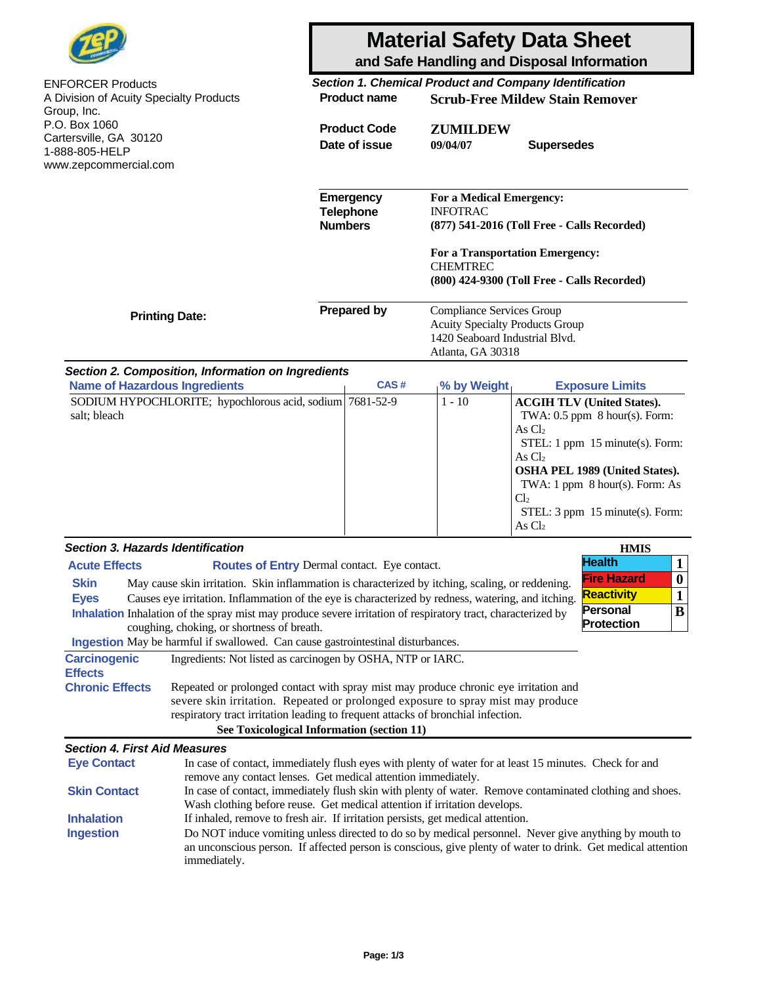|                                                        |                                                                                                                                                                                                                                                                                                                                                                                                                                                                                                         | <b>Material Safety Data Sheet</b><br>and Safe Handling and Disposal Information |                                                 |                                                                                                                            |                                                                                |                                                                                                                                                                                                                  |  |
|--------------------------------------------------------|---------------------------------------------------------------------------------------------------------------------------------------------------------------------------------------------------------------------------------------------------------------------------------------------------------------------------------------------------------------------------------------------------------------------------------------------------------------------------------------------------------|---------------------------------------------------------------------------------|-------------------------------------------------|----------------------------------------------------------------------------------------------------------------------------|--------------------------------------------------------------------------------|------------------------------------------------------------------------------------------------------------------------------------------------------------------------------------------------------------------|--|
| <b>ENFORCER Products</b>                               |                                                                                                                                                                                                                                                                                                                                                                                                                                                                                                         | Section 1. Chemical Product and Company Identification                          |                                                 |                                                                                                                            |                                                                                |                                                                                                                                                                                                                  |  |
| A Division of Acuity Specialty Products<br>Group, Inc. |                                                                                                                                                                                                                                                                                                                                                                                                                                                                                                         | <b>Product name</b>                                                             |                                                 | <b>Scrub-Free Mildew Stain Remover</b>                                                                                     |                                                                                |                                                                                                                                                                                                                  |  |
| P.O. Box 1060                                          |                                                                                                                                                                                                                                                                                                                                                                                                                                                                                                         |                                                                                 | <b>Product Code</b>                             | <b>ZUMILDEW</b>                                                                                                            |                                                                                |                                                                                                                                                                                                                  |  |
| Cartersville, GA 30120                                 |                                                                                                                                                                                                                                                                                                                                                                                                                                                                                                         | Date of issue                                                                   |                                                 | 09/04/07<br><b>Supersedes</b>                                                                                              |                                                                                |                                                                                                                                                                                                                  |  |
| 1-888-805-HELP                                         |                                                                                                                                                                                                                                                                                                                                                                                                                                                                                                         |                                                                                 |                                                 |                                                                                                                            |                                                                                |                                                                                                                                                                                                                  |  |
| www.zepcommercial.com                                  |                                                                                                                                                                                                                                                                                                                                                                                                                                                                                                         |                                                                                 |                                                 |                                                                                                                            |                                                                                |                                                                                                                                                                                                                  |  |
|                                                        |                                                                                                                                                                                                                                                                                                                                                                                                                                                                                                         |                                                                                 | Emergency<br><b>Telephone</b><br><b>Numbers</b> | For a Medical Emergency:<br><b>INFOTRAC</b>                                                                                | (877) 541-2016 (Toll Free - Calls Recorded)                                    |                                                                                                                                                                                                                  |  |
|                                                        |                                                                                                                                                                                                                                                                                                                                                                                                                                                                                                         |                                                                                 |                                                 | <b>CHEMTREC</b>                                                                                                            | For a Transportation Emergency:<br>(800) 424-9300 (Toll Free - Calls Recorded) |                                                                                                                                                                                                                  |  |
| <b>Printing Date:</b>                                  |                                                                                                                                                                                                                                                                                                                                                                                                                                                                                                         | <b>Prepared by</b>                                                              |                                                 | Compliance Services Group<br><b>Acuity Specialty Products Group</b><br>1420 Seaboard Industrial Blvd.<br>Atlanta, GA 30318 |                                                                                |                                                                                                                                                                                                                  |  |
|                                                        | Section 2. Composition, Information on Ingredients                                                                                                                                                                                                                                                                                                                                                                                                                                                      |                                                                                 |                                                 |                                                                                                                            |                                                                                |                                                                                                                                                                                                                  |  |
| <b>Name of Hazardous Ingredients</b>                   |                                                                                                                                                                                                                                                                                                                                                                                                                                                                                                         |                                                                                 | CAS#                                            | % by Weight                                                                                                                |                                                                                | <b>Exposure Limits</b>                                                                                                                                                                                           |  |
| salt; bleach                                           | SODIUM HYPOCHLORITE; hypochlorous acid, sodium 7681-52-9                                                                                                                                                                                                                                                                                                                                                                                                                                                |                                                                                 |                                                 | $1 - 10$                                                                                                                   | As $Cl2$<br>As $Cl2$<br>Cl <sub>2</sub><br>As $Cl2$                            | <b>ACGIH TLV (United States).</b><br>TWA: $0.5$ ppm $8$ hour(s). Form:<br>STEL: 1 ppm 15 minute(s). Form:<br>OSHA PEL 1989 (United States).<br>TWA: 1 ppm 8 hour(s). Form: As<br>STEL: 3 ppm 15 minute(s). Form: |  |
| <b>Section 3. Hazards Identification</b>               |                                                                                                                                                                                                                                                                                                                                                                                                                                                                                                         |                                                                                 |                                                 |                                                                                                                            |                                                                                | <b>HMIS</b>                                                                                                                                                                                                      |  |
| <b>Acute Effects</b><br><b>Skin</b><br><b>Eyes</b>     | Routes of Entry Dermal contact. Eye contact.<br>May cause skin irritation. Skin inflammation is characterized by itching, scaling, or reddening.<br>Causes eye irritation. Inflammation of the eye is characterized by redness, watering, and itching.<br>Inhalation Inhalation of the spray mist may produce severe irritation of respiratory tract, characterized by<br>coughing, choking, or shortness of breath.<br>Ingestion May be harmful if swallowed. Can cause gastrointestinal disturbances. |                                                                                 |                                                 |                                                                                                                            |                                                                                | <b>Health</b><br>$\mathbf{1}$<br><b>Fire Hazard</b><br>$\bf{0}$<br><b>Reactivity</b><br>$\mathbf{1}$<br><b>Personal</b><br>$\bf{B}$<br><b>Protection</b>                                                         |  |
| <b>Carcinogenic</b>                                    | Ingredients: Not listed as carcinogen by OSHA, NTP or IARC.                                                                                                                                                                                                                                                                                                                                                                                                                                             |                                                                                 |                                                 |                                                                                                                            |                                                                                |                                                                                                                                                                                                                  |  |
| <b>Effects</b><br><b>Chronic Effects</b>               | Repeated or prolonged contact with spray mist may produce chronic eye irritation and<br>severe skin irritation. Repeated or prolonged exposure to spray mist may produce<br>respiratory tract irritation leading to frequent attacks of bronchial infection.<br>See Toxicological Information (section 11)                                                                                                                                                                                              |                                                                                 |                                                 |                                                                                                                            |                                                                                |                                                                                                                                                                                                                  |  |
| <b>Section 4. First Aid Measures</b>                   |                                                                                                                                                                                                                                                                                                                                                                                                                                                                                                         |                                                                                 |                                                 |                                                                                                                            |                                                                                |                                                                                                                                                                                                                  |  |
| <b>Eye Contact</b>                                     | In case of contact, immediately flush eyes with plenty of water for at least 15 minutes. Check for and                                                                                                                                                                                                                                                                                                                                                                                                  |                                                                                 |                                                 |                                                                                                                            |                                                                                |                                                                                                                                                                                                                  |  |
| <b>Skin Contact</b><br><b>Inhalation</b>               | remove any contact lenses. Get medical attention immediately.<br>In case of contact, immediately flush skin with plenty of water. Remove contaminated clothing and shoes.<br>Wash clothing before reuse. Get medical attention if irritation develops.<br>If inhaled, remove to fresh air. If irritation persists, get medical attention.                                                                                                                                                               |                                                                                 |                                                 |                                                                                                                            |                                                                                |                                                                                                                                                                                                                  |  |
| <b>Ingestion</b>                                       | Do NOT induce vomiting unless directed to do so by medical personnel. Never give anything by mouth to<br>an unconscious person. If affected person is conscious, give plenty of water to drink. Get medical attention<br>immediately.                                                                                                                                                                                                                                                                   |                                                                                 |                                                 |                                                                                                                            |                                                                                |                                                                                                                                                                                                                  |  |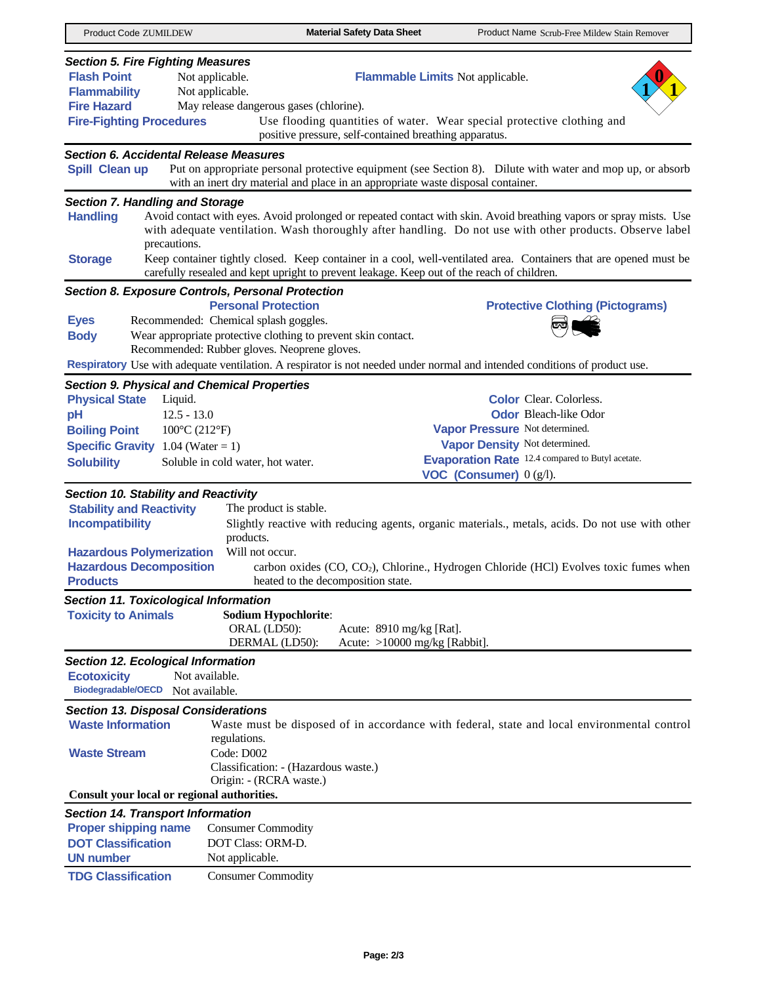| Product Code ZUMILDEW                              | <b>Material Safety Data Sheet</b><br>Product Name Scrub-Free Mildew Stain Remover                                                                                                                                              |  |  |  |  |
|----------------------------------------------------|--------------------------------------------------------------------------------------------------------------------------------------------------------------------------------------------------------------------------------|--|--|--|--|
| <b>Section 5. Fire Fighting Measures</b>           |                                                                                                                                                                                                                                |  |  |  |  |
| <b>Flash Point</b>                                 | Not applicable.<br>Flammable Limits Not applicable.                                                                                                                                                                            |  |  |  |  |
| <b>Flammability</b>                                | Not applicable.                                                                                                                                                                                                                |  |  |  |  |
| <b>Fire Hazard</b>                                 | May release dangerous gases (chlorine).                                                                                                                                                                                        |  |  |  |  |
| <b>Fire-Fighting Procedures</b>                    | Use flooding quantities of water. Wear special protective clothing and<br>positive pressure, self-contained breathing apparatus.                                                                                               |  |  |  |  |
| <b>Section 6. Accidental Release Measures</b>      |                                                                                                                                                                                                                                |  |  |  |  |
| Spill Clean up                                     | Put on appropriate personal protective equipment (see Section 8). Dilute with water and mop up, or absorb<br>with an inert dry material and place in an appropriate waste disposal container.                                  |  |  |  |  |
| <b>Section 7. Handling and Storage</b>             |                                                                                                                                                                                                                                |  |  |  |  |
| <b>Handling</b><br>precautions.                    | Avoid contact with eyes. Avoid prolonged or repeated contact with skin. Avoid breathing vapors or spray mists. Use<br>with adequate ventilation. Wash thoroughly after handling. Do not use with other products. Observe label |  |  |  |  |
| <b>Storage</b>                                     | Keep container tightly closed. Keep container in a cool, well-ventilated area. Containers that are opened must be<br>carefully resealed and kept upright to prevent leakage. Keep out of the reach of children.                |  |  |  |  |
|                                                    | Section 8. Exposure Controls, Personal Protection                                                                                                                                                                              |  |  |  |  |
|                                                    | <b>Personal Protection</b><br><b>Protective Clothing (Pictograms)</b>                                                                                                                                                          |  |  |  |  |
| <b>Eyes</b>                                        | Recommended: Chemical splash goggles.                                                                                                                                                                                          |  |  |  |  |
| <b>Body</b>                                        | Wear appropriate protective clothing to prevent skin contact.                                                                                                                                                                  |  |  |  |  |
|                                                    | Recommended: Rubber gloves. Neoprene gloves.                                                                                                                                                                                   |  |  |  |  |
|                                                    | Respiratory Use with adequate ventilation. A respirator is not needed under normal and intended conditions of product use.                                                                                                     |  |  |  |  |
| <b>Section 9. Physical and Chemical Properties</b> |                                                                                                                                                                                                                                |  |  |  |  |
| <b>Physical State</b><br>Liquid.                   | <b>Color</b> Clear. Colorless.                                                                                                                                                                                                 |  |  |  |  |
|                                                    | <b>Odor</b> Bleach-like Odor                                                                                                                                                                                                   |  |  |  |  |
| $12.5 - 13.0$<br>pH                                |                                                                                                                                                                                                                                |  |  |  |  |
| <b>Boiling Point</b>                               | Vapor Pressure Not determined.<br>$100^{\circ}$ C (212 $^{\circ}$ F)                                                                                                                                                           |  |  |  |  |
| <b>Specific Gravity</b>                            | Vapor Density Not determined.<br>1.04 (Water = 1)                                                                                                                                                                              |  |  |  |  |
| <b>Solubility</b>                                  | <b>Evaporation Rate</b> 12.4 compared to Butyl acetate.<br>Soluble in cold water, hot water.                                                                                                                                   |  |  |  |  |
|                                                    | VOC (Consumer) $0$ (g/l).                                                                                                                                                                                                      |  |  |  |  |
| <b>Section 10. Stability and Reactivity</b>        |                                                                                                                                                                                                                                |  |  |  |  |
| <b>Stability and Reactivity</b>                    | The product is stable.                                                                                                                                                                                                         |  |  |  |  |
| <b>Incompatibility</b>                             | Slightly reactive with reducing agents, organic materials., metals, acids. Do not use with other                                                                                                                               |  |  |  |  |
|                                                    | products.                                                                                                                                                                                                                      |  |  |  |  |
| <b>Hazardous Polymerization</b>                    | Will not occur.                                                                                                                                                                                                                |  |  |  |  |
| <b>Hazardous Decomposition</b>                     | carbon oxides (CO, CO <sub>2</sub> ), Chlorine., Hydrogen Chloride (HCl) Evolves toxic fumes when                                                                                                                              |  |  |  |  |
|                                                    |                                                                                                                                                                                                                                |  |  |  |  |
| <b>Products</b>                                    | heated to the decomposition state.                                                                                                                                                                                             |  |  |  |  |
| <b>Section 11. Toxicological Information</b>       |                                                                                                                                                                                                                                |  |  |  |  |
| <b>Toxicity to Animals</b>                         | <b>Sodium Hypochlorite:</b>                                                                                                                                                                                                    |  |  |  |  |
|                                                    | ORAL (LD50):<br>Acute: 8910 mg/kg [Rat].                                                                                                                                                                                       |  |  |  |  |
|                                                    | DERMAL (LD50):<br>Acute: >10000 mg/kg [Rabbit].                                                                                                                                                                                |  |  |  |  |
| Section 12. Ecological Information                 |                                                                                                                                                                                                                                |  |  |  |  |
| <b>Ecotoxicity</b>                                 | Not available.                                                                                                                                                                                                                 |  |  |  |  |
| <b>Biodegradable/OECD</b>                          | Not available.                                                                                                                                                                                                                 |  |  |  |  |
|                                                    |                                                                                                                                                                                                                                |  |  |  |  |
| <b>Section 13. Disposal Considerations</b>         |                                                                                                                                                                                                                                |  |  |  |  |
| <b>Waste Information</b>                           | Waste must be disposed of in accordance with federal, state and local environmental control                                                                                                                                    |  |  |  |  |
|                                                    | regulations.                                                                                                                                                                                                                   |  |  |  |  |
| <b>Waste Stream</b>                                | Code: D002                                                                                                                                                                                                                     |  |  |  |  |
|                                                    | Classification: - (Hazardous waste.)                                                                                                                                                                                           |  |  |  |  |
|                                                    | Origin: - (RCRA waste.)                                                                                                                                                                                                        |  |  |  |  |
| Consult your local or regional authorities.        |                                                                                                                                                                                                                                |  |  |  |  |
| <b>Section 14. Transport Information</b>           |                                                                                                                                                                                                                                |  |  |  |  |
| <b>Proper shipping name</b>                        | <b>Consumer Commodity</b>                                                                                                                                                                                                      |  |  |  |  |
| <b>DOT Classification</b>                          | DOT Class: ORM-D.                                                                                                                                                                                                              |  |  |  |  |
| <b>UN number</b>                                   | Not applicable.                                                                                                                                                                                                                |  |  |  |  |
| <b>TDG Classification</b>                          | <b>Consumer Commodity</b>                                                                                                                                                                                                      |  |  |  |  |
|                                                    |                                                                                                                                                                                                                                |  |  |  |  |